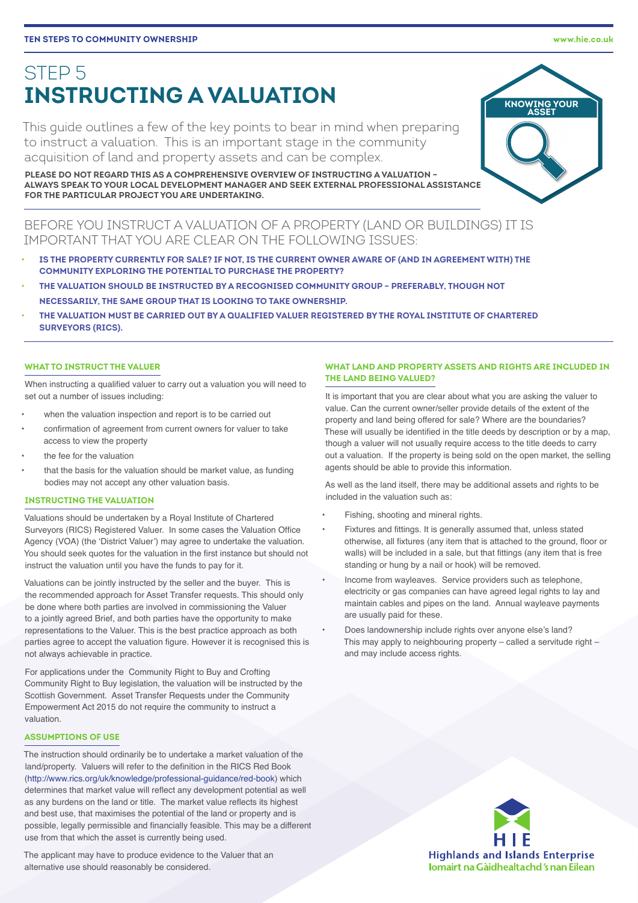# STEP 5 **INSTRUCTING A VALUATION**

This guide outlines a few of the key points to bear in mind when preparing to instruct a valuation. This is an important stage in the community acquisition of land and property assets and can be complex.

**PLEASE DO NOT REGARD THIS AS A COMPREHENSIVE OVERVIEW OF INSTRUCTING A VALUATION – ALWAYS SPEAK TO YOUR LOCAL DEVELOPMENT MANAGER AND SEEK EXTERNAL PROFESSIONAL ASSISTANCE FOR THE PARTICULAR PROJECT YOU ARE UNDERTAKING.** 

BEFORE YOU INSTRUCT A VALUATION OF A PROPERTY (LAND OR BUILDINGS) IT IS IMPORTANT THAT YOU ARE CLEAR ON THE FOLLOWING ISSUES:

- **IS THE PROPERTY CURRENTLY FOR SALE? IF NOT, IS THE CURRENT OWNER AWARE OF (AND IN AGREEMENT WITH) THE COMMUNITY EXPLORING THE POTENTIAL TO PURCHASE THE PROPERTY?**
- **THE VALUATION SHOULD BE INSTRUCTED BY A RECOGNISED COMMUNITY GROUP PREFERABLY, THOUGH NOT NECESSARILY, THE SAME GROUP THAT IS LOOKING TO TAKE OWNERSHIP.**
- **THE VALUATION MUST BE CARRIED OUT BY A QUALIFIED VALUER REGISTERED BY THE ROYAL INSTITUTE OF CHARTERED SURVEYORS (RICS).**

## **WHAT TO INSTRUCT THE VALUER**

When instructing a qualified valuer to carry out a valuation you will need to set out a number of issues including:

- when the valuation inspection and report is to be carried out
- confirmation of agreement from current owners for valuer to take access to view the property
- the fee for the valuation
- that the basis for the valuation should be market value, as funding bodies may not accept any other valuation basis.

## **INSTRUCTING THE VALUATION**

Valuations should be undertaken by a Royal Institute of Chartered Surveyors (RICS) Registered Valuer. In some cases the Valuation Office Agency (VOA) (the 'District Valuer') may agree to undertake the valuation. You should seek quotes for the valuation in the first instance but should not instruct the valuation until you have the funds to pay for it.

Valuations can be jointly instructed by the seller and the buyer. This is the recommended approach for Asset Transfer requests. This should only be done where both parties are involved in commissioning the Valuer to a jointly agreed Brief, and both parties have the opportunity to make representations to the Valuer. This is the best practice approach as both parties agree to accept the valuation figure. However it is recognised this is not always achievable in practice.

For applications under the Community Right to Buy and Crofting Community Right to Buy legislation, the valuation will be instructed by the Scottish Government. Asset Transfer Requests under the Community Empowerment Act 2015 do not require the community to instruct a valuation.

## **ASSUMPTIONS OF USE**

The instruction should ordinarily be to undertake a market valuation of the land/property. Valuers will refer to the definition in the RICS Red Book (<http://www.rics.org/uk/knowledge/professional-guidance/red-book>) which determines that market value will reflect any development potential as well as any burdens on the land or title. The market value reflects its highest and best use, that maximises the potential of the land or property and is possible, legally permissible and financially feasible. This may be a different use from that which the asset is currently being used.

The applicant may have to produce evidence to the Valuer that an alternative use should reasonably be considered.

## **WHAT LAND AND PROPERTY ASSETS AND RIGHTS ARE INCLUDED IN THE LAND BEING VALUED?**

It is important that you are clear about what you are asking the valuer to value. Can the current owner/seller provide details of the extent of the property and land being offered for sale? Where are the boundaries? These will usually be identified in the title deeds by description or by a map, though a valuer will not usually require access to the title deeds to carry out a valuation. If the property is being sold on the open market, the selling agents should be able to provide this information.

As well as the land itself, there may be additional assets and rights to be included in the valuation such as:

- Fishing, shooting and mineral rights.
- Fixtures and fittings. It is generally assumed that, unless stated otherwise, all fixtures (any item that is attached to the ground, floor or walls) will be included in a sale, but that fittings (any item that is free standing or hung by a nail or hook) will be removed.
- Income from wayleaves. Service providers such as telephone, electricity or gas companies can have agreed legal rights to lay and maintain cables and pipes on the land. Annual wayleave payments are usually paid for these.
- Does landownership include rights over anyone else's land? This may apply to neighbouring property  $-$  called a servitude right  $$ and may include access rights.